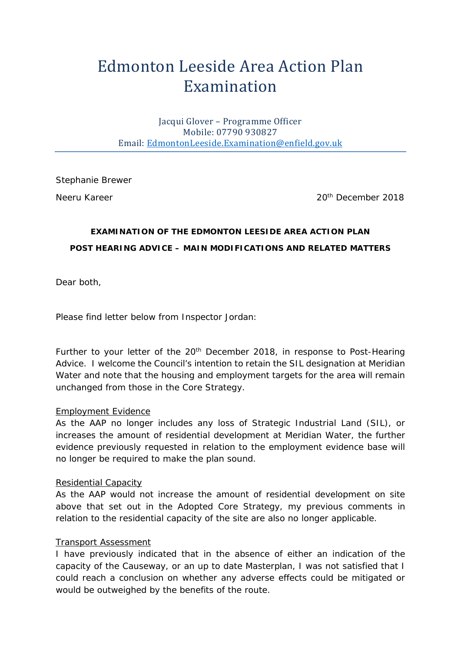# Edmonton Leeside Area Action Plan Examination

Jacqui Glover – Programme Officer Mobile: 07790 930827 Email: [EdmontonLeeside.Examination@enfield.gov.uk](mailto:EdmontonLeeside.Examination@enfield.gov.uk)

Stephanie Brewer

Neeru Kareer 2018

# **EXAMINATION OF THE EDMONTON LEESIDE AREA ACTION PLAN POST HEARING ADVICE – MAIN MODIFICATIONS AND RELATED MATTERS**

Dear both,

*Please find letter below from Inspector Jordan:* 

Further to your letter of the 20<sup>th</sup> December 2018, in response to Post-Hearing Advice. I welcome the Council's intention to retain the SIL designation at Meridian Water and note that the housing and employment targets for the area will remain unchanged from those in the Core Strategy.

#### Employment Evidence

As the AAP no longer includes any loss of Strategic Industrial Land (SIL), or increases the amount of residential development at Meridian Water, the further evidence previously requested in relation to the employment evidence base will no longer be required to make the plan sound.

#### Residential Capacity

As the AAP would not increase the amount of residential development on site above that set out in the Adopted Core Strategy, my previous comments in relation to the residential capacity of the site are also no longer applicable.

#### Transport Assessment

I have previously indicated that in the absence of either an indication of the capacity of the Causeway, or an up to date Masterplan, I was not satisfied that I could reach a conclusion on whether any adverse effects could be mitigated or would be outweighed by the benefits of the route.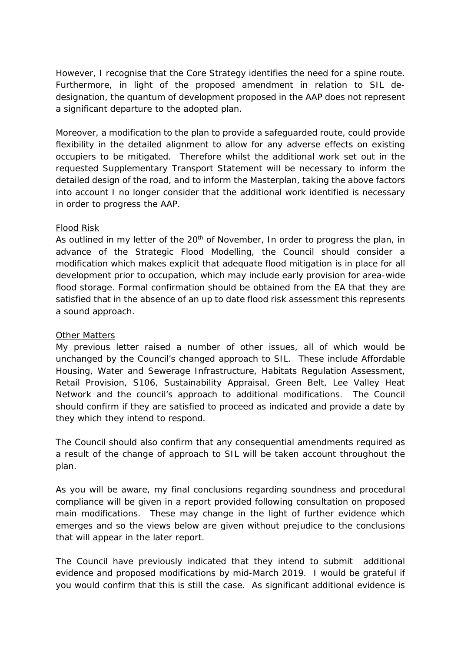However, I recognise that the Core Strategy identifies the need for a spine route. Furthermore, in light of the proposed amendment in relation to SIL dedesignation, the quantum of development proposed in the AAP does not represent a significant departure to the adopted plan.

Moreover, a modification to the plan to provide a safeguarded route, could provide flexibility in the detailed alignment to allow for any adverse effects on existing occupiers to be mitigated. Therefore whilst the additional work set out in the requested Supplementary Transport Statement will be necessary to inform the detailed design of the road, and to inform the Masterplan, taking the above factors into account I no longer consider that the additional work identified is necessary in order to progress the AAP.

## Flood Risk

As outlined in my letter of the  $20<sup>th</sup>$  of November, In order to progress the plan, in advance of the Strategic Flood Modelling, the Council should consider a modification which makes explicit that adequate flood mitigation is in place for all development prior to occupation, which may include early provision for area-wide flood storage. Formal confirmation should be obtained from the EA that they are satisfied that in the absence of an up to date flood risk assessment this represents a sound approach.

## Other Matters

My previous letter raised a number of other issues, all of which would be unchanged by the Council's changed approach to SIL. These include Affordable Housing, Water and Sewerage Infrastructure, Habitats Regulation Assessment, Retail Provision, S106, Sustainability Appraisal, Green Belt, Lee Valley Heat Network and the council's approach to additional modifications. The Council should confirm if they are satisfied to proceed as indicated and provide a date by they which they intend to respond.

The Council should also confirm that any consequential amendments required as a result of the change of approach to SIL will be taken account throughout the plan.

As you will be aware, my final conclusions regarding soundness and procedural compliance will be given in a report provided following consultation on proposed main modifications. These may change in the light of further evidence which emerges and so the views below are given without prejudice to the conclusions that will appear in the later report.

The Council have previously indicated that they intend to submit additional evidence and proposed modifications by mid-March 2019. I would be grateful if you would confirm that this is still the case. As significant additional evidence is